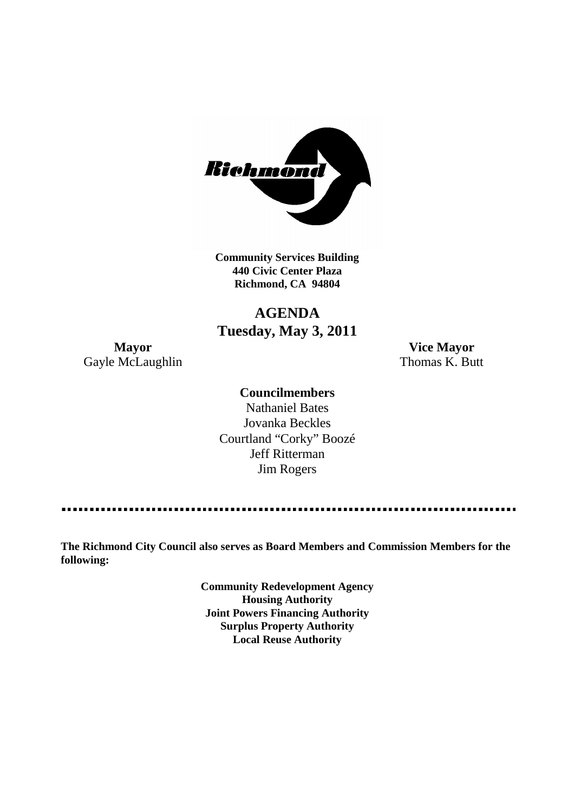

**Community Services Building 440 Civic Center Plaza Richmond, CA 94804**

## **AGENDA Tuesday, May 3, 2011**

**Mayor Vice Mayor** Gayle McLaughlin Thomas K. Butt

### **Councilmembers**

Nathaniel Bates Jovanka Beckles Courtland "Corky" Boozé Jeff Ritterman Jim Rogers

**The Richmond City Council also serves as Board Members and Commission Members for the following:**

> **Community Redevelopment Agency Housing Authority Joint Powers Financing Authority Surplus Property Authority Local Reuse Authority**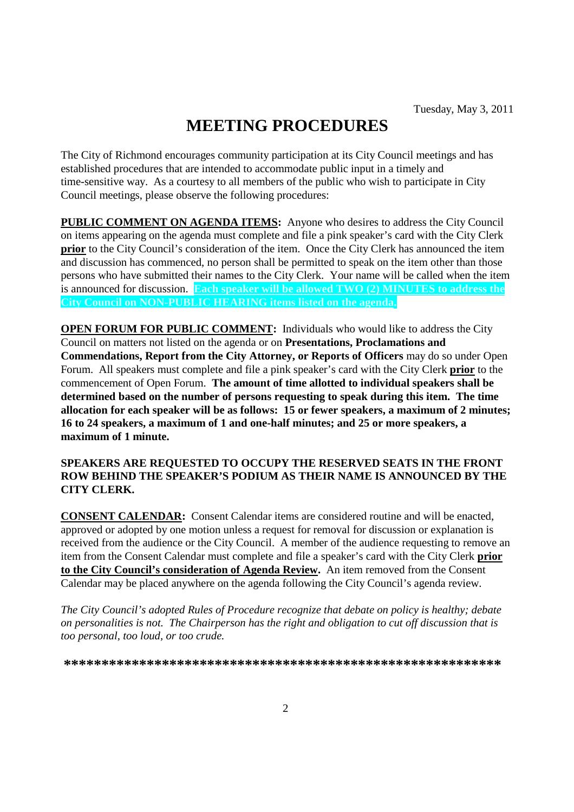# **MEETING PROCEDURES**

The City of Richmond encourages community participation at its City Council meetings and has established procedures that are intended to accommodate public input in a timely and time-sensitive way. As a courtesy to all members of the public who wish to participate in City Council meetings, please observe the following procedures:

**PUBLIC COMMENT ON AGENDA ITEMS:** Anyone who desires to address the City Council on items appearing on the agenda must complete and file a pink speaker's card with the City Clerk **prior** to the City Council's consideration of the item. Once the City Clerk has announced the item and discussion has commenced, no person shall be permitted to speak on the item other than those persons who have submitted their names to the City Clerk. Your name will be called when the item is announced for discussion. **Each speaker will be allowed TWO (2) MINUTES to address the City Council on NON-PUBLIC HEARING items listed on the agenda.**

**OPEN FORUM FOR PUBLIC COMMENT:** Individuals who would like to address the City Council on matters not listed on the agenda or on **Presentations, Proclamations and Commendations, Report from the City Attorney, or Reports of Officers** may do so under Open Forum. All speakers must complete and file a pink speaker's card with the City Clerk **prior** to the commencement of Open Forum. **The amount of time allotted to individual speakers shall be determined based on the number of persons requesting to speak during this item. The time allocation for each speaker will be as follows: 15 or fewer speakers, a maximum of 2 minutes; 16 to 24 speakers, a maximum of 1 and one-half minutes; and 25 or more speakers, a maximum of 1 minute.**

#### **SPEAKERS ARE REQUESTED TO OCCUPY THE RESERVED SEATS IN THE FRONT ROW BEHIND THE SPEAKER'S PODIUM AS THEIR NAME IS ANNOUNCED BY THE CITY CLERK.**

**CONSENT CALENDAR:** Consent Calendar items are considered routine and will be enacted, approved or adopted by one motion unless a request for removal for discussion or explanation is received from the audience or the City Council. A member of the audience requesting to remove an item from the Consent Calendar must complete and file a speaker's card with the City Clerk **prior to the City Council's consideration of Agenda Review.** An item removed from the Consent Calendar may be placed anywhere on the agenda following the City Council's agenda review.

*The City Council's adopted Rules of Procedure recognize that debate on policy is healthy; debate on personalities is not. The Chairperson has the right and obligation to cut off discussion that is too personal, too loud, or too crude.*

**\*\*\*\*\*\*\*\*\*\*\*\*\*\*\*\*\*\*\*\*\*\*\*\*\*\*\*\*\*\*\*\*\*\*\*\*\*\*\*\*\*\*\*\*\*\*\*\*\*\*\*\*\*\*\*\*\*\***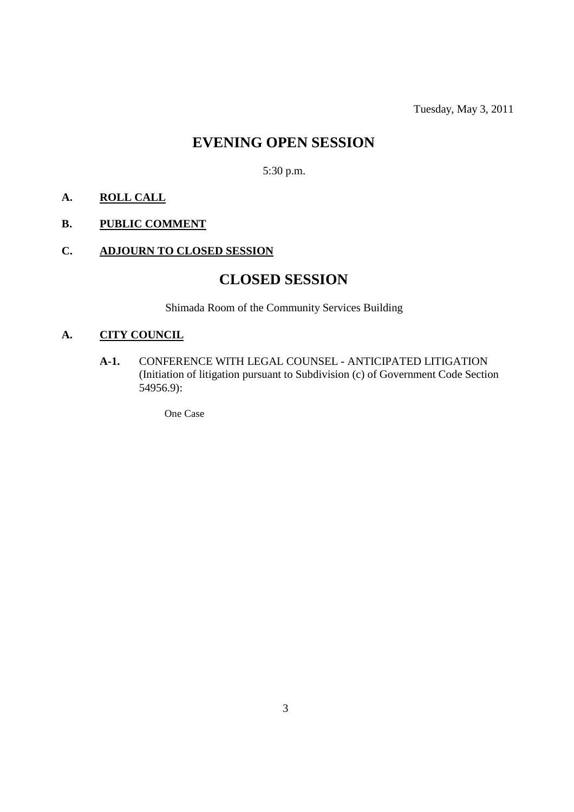## **EVENING OPEN SESSION**

5:30 p.m.

## **A. ROLL CALL**

## **B. PUBLIC COMMENT**

## **C. ADJOURN TO CLOSED SESSION**

## **CLOSED SESSION**

Shimada Room of the Community Services Building

## **A. CITY COUNCIL**

**A-1.** CONFERENCE WITH LEGAL COUNSEL - ANTICIPATED LITIGATION (Initiation of litigation pursuant to Subdivision (c) of Government Code Section 54956.9):

One Case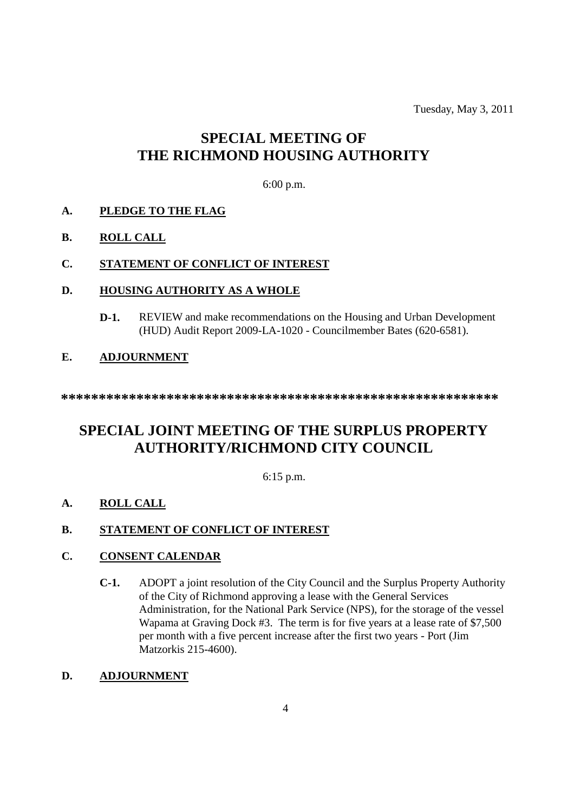Tuesday, May 3, 2011

## **SPECIAL MEETING OF THE RICHMOND HOUSING AUTHORITY**

#### 6:00 p.m.

#### **A. PLEDGE TO THE FLAG**

#### **B. ROLL CALL**

#### **C. STATEMENT OF CONFLICT OF INTEREST**

#### **D. HOUSING AUTHORITY AS A WHOLE**

**D-1.** REVIEW and make recommendations on the Housing and Urban Development (HUD) Audit Report 2009-LA-1020 - Councilmember Bates (620-6581).

#### **E. ADJOURNMENT**

**\*\*\*\*\*\*\*\*\*\*\*\*\*\*\*\*\*\*\*\*\*\*\*\*\*\*\*\*\*\*\*\*\*\*\*\*\*\*\*\*\*\*\*\*\*\*\*\*\*\*\*\*\*\*\*\*\*\***

## **SPECIAL JOINT MEETING OF THE SURPLUS PROPERTY AUTHORITY/RICHMOND CITY COUNCIL**

#### 6:15 p.m.

### **A. ROLL CALL**

#### **B. STATEMENT OF CONFLICT OF INTEREST**

#### **C. CONSENT CALENDAR**

**C-1.** ADOPT a joint resolution of the City Council and the Surplus Property Authority of the City of Richmond approving a lease with the General Services Administration, for the National Park Service (NPS), for the storage of the vessel Wapama at Graving Dock #3. The term is for five years at a lease rate of \$7,500 per month with a five percent increase after the first two years - Port (Jim Matzorkis 215-4600).

## **D. ADJOURNMENT**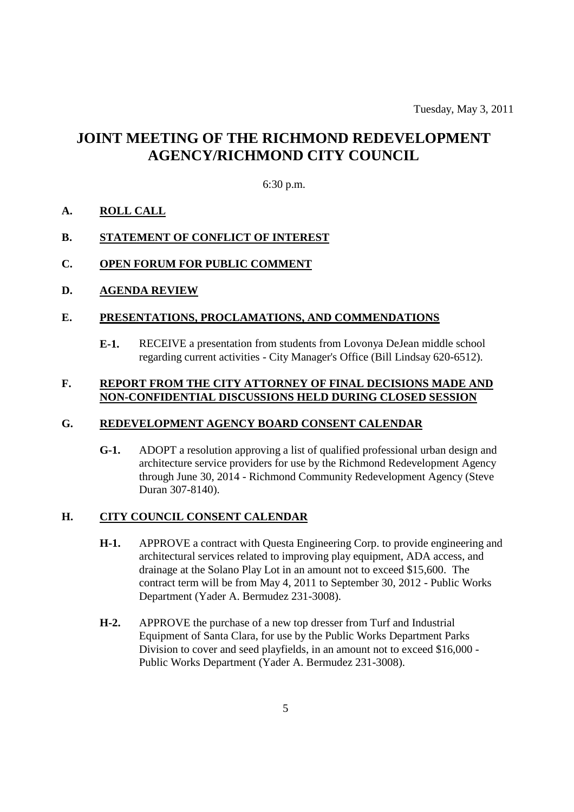## **JOINT MEETING OF THE RICHMOND REDEVELOPMENT AGENCY/RICHMOND CITY COUNCIL**

#### 6:30 p.m.

#### **A. ROLL CALL**

#### **B. STATEMENT OF CONFLICT OF INTEREST**

#### **C. OPEN FORUM FOR PUBLIC COMMENT**

**D. AGENDA REVIEW**

#### **E. PRESENTATIONS, PROCLAMATIONS, AND COMMENDATIONS**

**E-1.** RECEIVE a presentation from students from Lovonya DeJean middle school regarding current activities - City Manager's Office (Bill Lindsay 620-6512).

#### **F. REPORT FROM THE CITY ATTORNEY OF FINAL DECISIONS MADE AND NON-CONFIDENTIAL DISCUSSIONS HELD DURING CLOSED SESSION**

#### **G. REDEVELOPMENT AGENCY BOARD CONSENT CALENDAR**

**G-1.** ADOPT a resolution approving a list of qualified professional urban design and architecture service providers for use by the Richmond Redevelopment Agency through June 30, 2014 - Richmond Community Redevelopment Agency (Steve Duran 307-8140).

#### **H. CITY COUNCIL CONSENT CALENDAR**

- **H-1.** APPROVE a contract with Questa Engineering Corp. to provide engineering and architectural services related to improving play equipment, ADA access, and drainage at the Solano Play Lot in an amount not to exceed \$15,600. The contract term will be from May 4, 2011 to September 30, 2012 - Public Works Department (Yader A. Bermudez 231-3008).
- **H-2.** APPROVE the purchase of a new top dresser from Turf and Industrial Equipment of Santa Clara, for use by the Public Works Department Parks Division to cover and seed playfields, in an amount not to exceed \$16,000 - Public Works Department (Yader A. Bermudez 231-3008).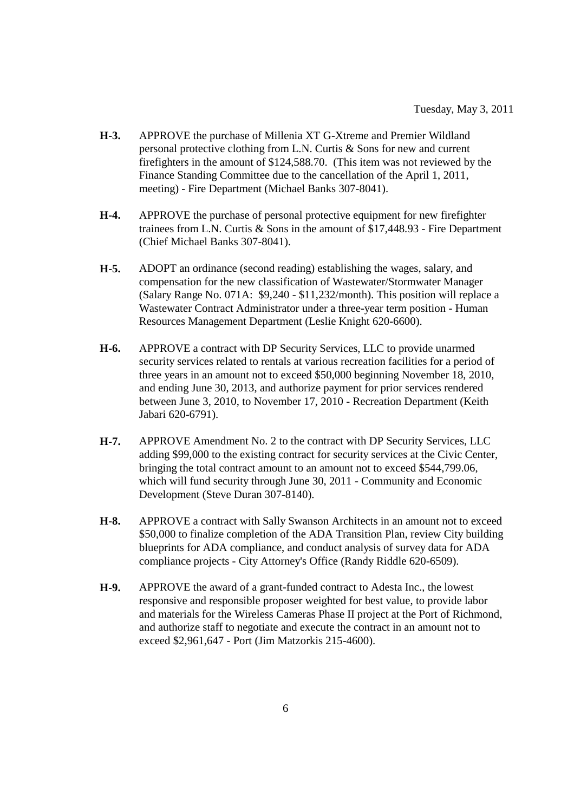- **H-3.** APPROVE the purchase of Millenia XT G-Xtreme and Premier Wildland personal protective clothing from L.N. Curtis & Sons for new and current firefighters in the amount of \$124,588.70. (This item was not reviewed by the Finance Standing Committee due to the cancellation of the April 1, 2011, meeting) - Fire Department (Michael Banks 307-8041).
- **H-4.** APPROVE the purchase of personal protective equipment for new firefighter trainees from L.N. Curtis & Sons in the amount of \$17,448.93 - Fire Department (Chief Michael Banks 307-8041).
- **H-5.** ADOPT an ordinance (second reading) establishing the wages, salary, and compensation for the new classification of Wastewater/Stormwater Manager (Salary Range No. 071A: \$9,240 - \$11,232/month). This position will replace a Wastewater Contract Administrator under a three-year term position - Human Resources Management Department (Leslie Knight 620-6600).
- **H-6.** APPROVE a contract with DP Security Services, LLC to provide unarmed security services related to rentals at various recreation facilities for a period of three years in an amount not to exceed \$50,000 beginning November 18, 2010, and ending June 30, 2013, and authorize payment for prior services rendered between June 3, 2010, to November 17, 2010 - Recreation Department (Keith Jabari 620-6791).
- **H-7.** APPROVE Amendment No. 2 to the contract with DP Security Services, LLC adding \$99,000 to the existing contract for security services at the Civic Center, bringing the total contract amount to an amount not to exceed \$544,799.06, which will fund security through June 30, 2011 - Community and Economic Development (Steve Duran 307-8140).
- **H-8.** APPROVE a contract with Sally Swanson Architects in an amount not to exceed \$50,000 to finalize completion of the ADA Transition Plan, review City building blueprints for ADA compliance, and conduct analysis of survey data for ADA compliance projects - City Attorney's Office (Randy Riddle 620-6509).
- **H-9.** APPROVE the award of a grant-funded contract to Adesta Inc., the lowest responsive and responsible proposer weighted for best value, to provide labor and materials for the Wireless Cameras Phase II project at the Port of Richmond, and authorize staff to negotiate and execute the contract in an amount not to exceed \$2,961,647 - Port (Jim Matzorkis 215-4600).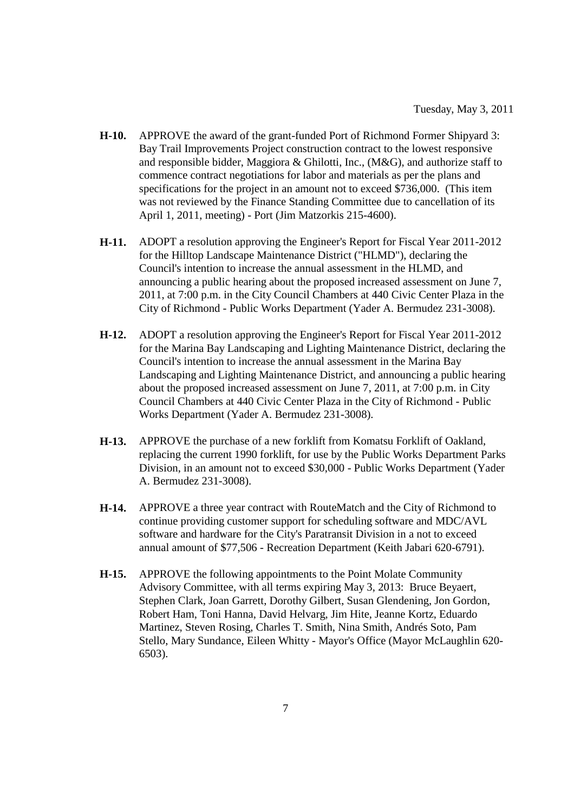- **H-10.** APPROVE the award of the grant-funded Port of Richmond Former Shipyard 3: Bay Trail Improvements Project construction contract to the lowest responsive and responsible bidder, Maggiora & Ghilotti, Inc.,  $(M&G)$ , and authorize staff to commence contract negotiations for labor and materials as per the plans and specifications for the project in an amount not to exceed \$736,000. (This item was not reviewed by the Finance Standing Committee due to cancellation of its April 1, 2011, meeting) - Port (Jim Matzorkis 215-4600).
- **H-11.** ADOPT a resolution approving the Engineer's Report for Fiscal Year 2011-2012 for the Hilltop Landscape Maintenance District ("HLMD"), declaring the Council's intention to increase the annual assessment in the HLMD, and announcing a public hearing about the proposed increased assessment on June 7, 2011, at 7:00 p.m. in the City Council Chambers at 440 Civic Center Plaza in the City of Richmond - Public Works Department (Yader A. Bermudez 231-3008).
- **H-12.** ADOPT a resolution approving the Engineer's Report for Fiscal Year 2011-2012 for the Marina Bay Landscaping and Lighting Maintenance District, declaring the Council's intention to increase the annual assessment in the Marina Bay Landscaping and Lighting Maintenance District, and announcing a public hearing about the proposed increased assessment on June 7, 2011, at 7:00 p.m. in City Council Chambers at 440 Civic Center Plaza in the City of Richmond - Public Works Department (Yader A. Bermudez 231-3008).
- **H-13.** APPROVE the purchase of a new forklift from Komatsu Forklift of Oakland, replacing the current 1990 forklift, for use by the Public Works Department Parks Division, in an amount not to exceed \$30,000 - Public Works Department (Yader A. Bermudez 231-3008).
- **H-14.** APPROVE a three year contract with RouteMatch and the City of Richmond to continue providing customer support for scheduling software and MDC/AVL software and hardware for the City's Paratransit Division in a not to exceed annual amount of \$77,506 - Recreation Department (Keith Jabari 620-6791).
- **H-15.** APPROVE the following appointments to the Point Molate Community Advisory Committee, with all terms expiring May 3, 2013: Bruce Beyaert, Stephen Clark, Joan Garrett, Dorothy Gilbert, Susan Glendening, Jon Gordon, Robert Ham, Toni Hanna, David Helvarg, Jim Hite, Jeanne Kortz, Eduardo Martinez, Steven Rosing, Charles T. Smith, Nina Smith, Andrés Soto, Pam Stello, Mary Sundance, Eileen Whitty - Mayor's Office (Mayor McLaughlin 620- 6503).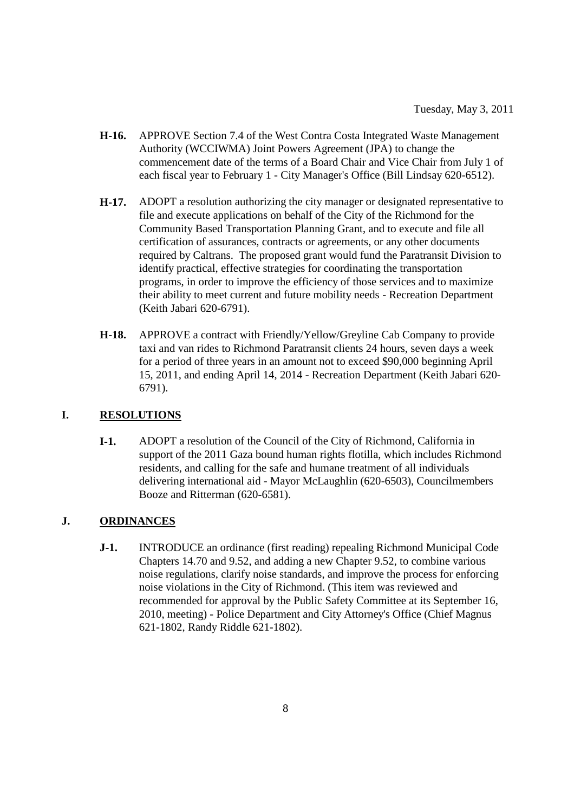- **H-16.** APPROVE Section 7.4 of the West Contra Costa Integrated Waste Management Authority (WCCIWMA) Joint Powers Agreement (JPA) to change the commencement date of the terms of a Board Chair and Vice Chair from July 1 of each fiscal year to February 1 - City Manager's Office (Bill Lindsay 620-6512).
- **H-17.** ADOPT a resolution authorizing the city manager or designated representative to file and execute applications on behalf of the City of the Richmond for the Community Based Transportation Planning Grant, and to execute and file all certification of assurances, contracts or agreements, or any other documents required by Caltrans. The proposed grant would fund the Paratransit Division to identify practical, effective strategies for coordinating the transportation programs, in order to improve the efficiency of those services and to maximize their ability to meet current and future mobility needs - Recreation Department (Keith Jabari 620-6791).
- **H-18.** APPROVE a contract with Friendly/Yellow/Greyline Cab Company to provide taxi and van rides to Richmond Paratransit clients 24 hours, seven days a week for a period of three years in an amount not to exceed \$90,000 beginning April 15, 2011, and ending April 14, 2014 - Recreation Department (Keith Jabari 620- 6791).

## **I. RESOLUTIONS**

**I-1.** ADOPT a resolution of the Council of the City of Richmond, California in support of the 2011 Gaza bound human rights flotilla, which includes Richmond residents, and calling for the safe and humane treatment of all individuals delivering international aid - Mayor McLaughlin (620-6503), Councilmembers Booze and Ritterman (620-6581).

## **J. ORDINANCES**

**J-1.** INTRODUCE an ordinance (first reading) repealing Richmond Municipal Code Chapters 14.70 and 9.52, and adding a new Chapter 9.52, to combine various noise regulations, clarify noise standards, and improve the process for enforcing noise violations in the City of Richmond. (This item was reviewed and recommended for approval by the Public Safety Committee at its September 16, 2010, meeting) - Police Department and City Attorney's Office (Chief Magnus 621-1802, Randy Riddle 621-1802).